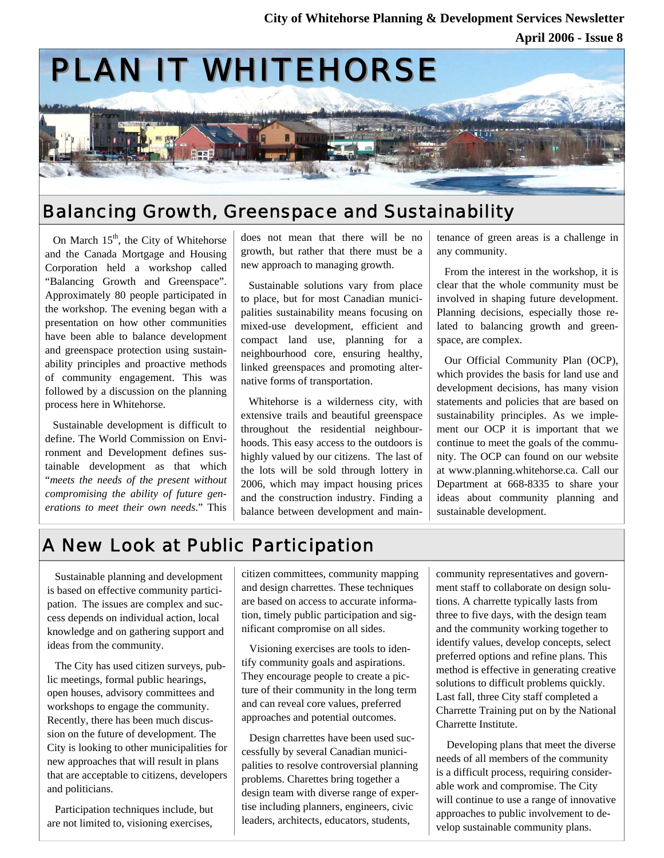

## Balancing Growth, Greenspace and Sustainability

On March  $15<sup>th</sup>$ , the City of Whitehorse and the Canada Mortgage and Housing Corporation held a workshop called "Balancing Growth and Greenspace". Approximately 80 people participated in the workshop. The evening began with a presentation on how other communities have been able to balance development and greenspace protection using sustainability principles and proactive methods of community engagement. This was followed by a discussion on the planning process here in Whitehorse.

Sustainable development is difficult to define. The World Commission on Environment and Development defines sustainable development as that which "*meets the needs of the present without compromising the ability of future generations to meet their own needs*." This

does not mean that there will be no growth, but rather that there must be a new approach to managing growth.

Sustainable solutions vary from place to place, but for most Canadian municipalities sustainability means focusing on mixed-use development, efficient and compact land use, planning for a neighbourhood core, ensuring healthy, linked greenspaces and promoting alternative forms of transportation.

Whitehorse is a wilderness city, with extensive trails and beautiful greenspace throughout the residential neighbourhoods. This easy access to the outdoors is highly valued by our citizens. The last of the lots will be sold through lottery in 2006, which may impact housing prices and the construction industry. Finding a balance between development and maintenance of green areas is a challenge in any community.

From the interest in the workshop, it is clear that the whole community must be involved in shaping future development. Planning decisions, especially those related to balancing growth and greenspace, are complex.

Our Official Community Plan (OCP), which provides the basis for land use and development decisions, has many vision statements and policies that are based on sustainability principles. As we implement our OCP it is important that we continue to meet the goals of the community. The OCP can found on our website at www.planning.whitehorse.ca. Call our Department at 668-8335 to share your ideas about community planning and sustainable development.

# A New Look at Public Participation

Sustainable planning and development is based on effective community participation. The issues are complex and success depends on individual action, local knowledge and on gathering support and ideas from the community.

The City has used citizen surveys, public meetings, formal public hearings, open houses, advisory committees and workshops to engage the community. Recently, there has been much discussion on the future of development. The City is looking to other municipalities for new approaches that will result in plans that are acceptable to citizens, developers and politicians.

Participation techniques include, but are not limited to, visioning exercises,

citizen committees, community mapping and design charrettes. These techniques are based on access to accurate information, timely public participation and significant compromise on all sides.

Visioning exercises are tools to identify community goals and aspirations. They encourage people to create a picture of their community in the long term and can reveal core values, preferred approaches and potential outcomes.

Design charrettes have been used successfully by several Canadian municipalities to resolve controversial planning problems. Charettes bring together a design team with diverse range of expertise including planners, engineers, civic leaders, architects, educators, students,

community representatives and government staff to collaborate on design solutions. A charrette typically lasts from three to five days, with the design team and the community working together to identify values, develop concepts, select preferred options and refine plans. This method is effective in generating creative solutions to difficult problems quickly. Last fall, three City staff completed a Charrette Training put on by the National Charrette Institute.

 Developing plans that meet the diverse needs of all members of the community is a difficult process, requiring considerable work and compromise. The City will continue to use a range of innovative approaches to public involvement to develop sustainable community plans.